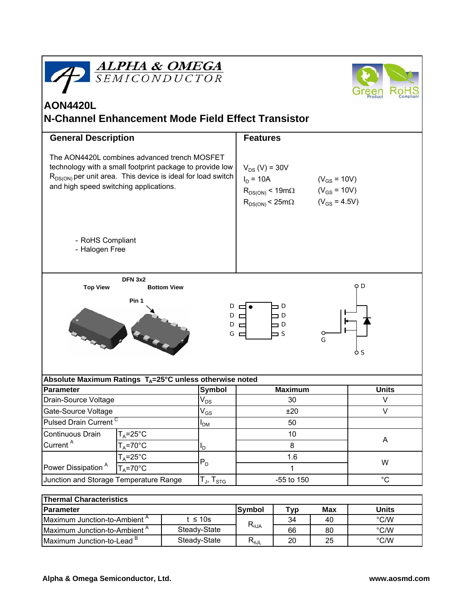



# **AON4420L**

## **N-Channel Enhancement Mode Field Effect Transistor**

| <b>General Description</b>                                                                                                                                                                                             |                    |                            | <b>Features</b>                                                                                         |                                       |                                                           |              |  |  |  |
|------------------------------------------------------------------------------------------------------------------------------------------------------------------------------------------------------------------------|--------------------|----------------------------|---------------------------------------------------------------------------------------------------------|---------------------------------------|-----------------------------------------------------------|--------------|--|--|--|
| The AON4420L combines advanced trench MOSFET<br>technology with a small footprint package to provide low<br>$R_{DS(ON)}$ per unit area. This device is ideal for load switch<br>and high speed switching applications. |                    |                            | $V_{DS}$ (V) = 30V<br>$I_D = 10A$<br>$\rm R_{DS(ON)}$ < 19m $\Omega$<br>$\rm R_{DS(ON)}$ < 25m $\Omega$ |                                       | $(V_{GS} = 10V)$<br>$(V_{GS} = 10V)$<br>$(V_{GS} = 4.5V)$ |              |  |  |  |
| - RoHS Compliant<br>- Halogen Free                                                                                                                                                                                     |                    |                            |                                                                                                         |                                       |                                                           |              |  |  |  |
| <b>DFN 3x2</b><br>O D<br><b>Top View</b><br><b>Bottom View</b>                                                                                                                                                         |                    |                            |                                                                                                         |                                       |                                                           |              |  |  |  |
| Pin 1                                                                                                                                                                                                                  |                    |                            |                                                                                                         |                                       |                                                           |              |  |  |  |
|                                                                                                                                                                                                                        |                    | D<br>D<br>D                | $\Box$<br>$\Box$<br>$G$ $\Box$                                                                          | ם ם<br>□ □<br>$\Box$ D<br>$\exists$ S | G                                                         |              |  |  |  |
| Absolute Maximum Ratings $T_A = 25^\circ \text{C}$ unless otherwise noted                                                                                                                                              |                    |                            |                                                                                                         |                                       |                                                           |              |  |  |  |
| <b>Parameter</b>                                                                                                                                                                                                       |                    | Symbol                     | <b>Maximum</b>                                                                                          |                                       |                                                           | <b>Units</b> |  |  |  |
| Drain-Source Voltage                                                                                                                                                                                                   |                    | $\mathsf{V}_{\mathsf{DS}}$ | 30                                                                                                      |                                       |                                                           | V            |  |  |  |
| Gate-Source Voltage                                                                                                                                                                                                    |                    | $V_{GS}$                   | ±20                                                                                                     |                                       |                                                           | $\vee$       |  |  |  |
| Pulsed Drain Current <sup>C</sup>                                                                                                                                                                                      |                    | $I_{DM}$                   | 50                                                                                                      |                                       |                                                           |              |  |  |  |
| Continuous Drain                                                                                                                                                                                                       | $T_A = 25$ °C      |                            | 10                                                                                                      |                                       |                                                           | A            |  |  |  |
| Current <sup>A</sup>                                                                                                                                                                                                   | $T_A = 70^\circ C$ | I <sub>D</sub>             |                                                                                                         | 8                                     |                                                           |              |  |  |  |
|                                                                                                                                                                                                                        | $T_A = 25$ °C      | $P_D$                      | 1.6                                                                                                     |                                       | W                                                         |              |  |  |  |
| Power Dissipation <sup>A</sup>                                                                                                                                                                                         | $T_A = 70$ °C      |                            | 1                                                                                                       |                                       |                                                           |              |  |  |  |
| Junction and Storage Temperature Range                                                                                                                                                                                 |                    | $T_J$ , $T_{STG}$          | -55 to 150                                                                                              |                                       |                                                           | $^{\circ}C$  |  |  |  |
|                                                                                                                                                                                                                        |                    |                            |                                                                                                         |                                       |                                                           |              |  |  |  |
| <b>Thermal Characteristics</b>                                                                                                                                                                                         |                    |                            |                                                                                                         |                                       |                                                           |              |  |  |  |
| Parameter                                                                                                                                                                                                              |                    | <b>Symbol</b>              | <b>Typ</b>                                                                                              | Max                                   | <b>Units</b>                                              |              |  |  |  |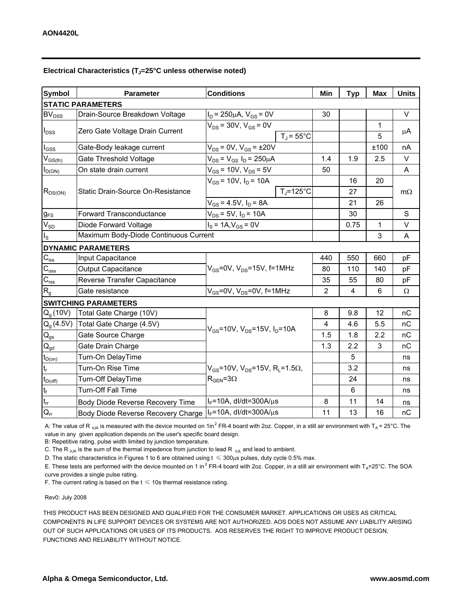#### Electrical Characteristics (T<sub>J</sub>=25°C unless otherwise noted)

| <b>Symbol</b>               | Parameter                             | <b>Conditions</b>                                                                                 |                    | Min            | <b>Typ</b> | <b>Max</b> | <b>Units</b> |  |  |  |  |  |
|-----------------------------|---------------------------------------|---------------------------------------------------------------------------------------------------|--------------------|----------------|------------|------------|--------------|--|--|--|--|--|
| <b>STATIC PARAMETERS</b>    |                                       |                                                                                                   |                    |                |            |            |              |  |  |  |  |  |
| BV <sub>DSS</sub>           | Drain-Source Breakdown Voltage        | $I_D = 250 \mu A$ , $V_{GS} = 0V$                                                                 |                    | 30             |            |            | $\vee$       |  |  |  |  |  |
| $I_{DSS}$                   | Zero Gate Voltage Drain Current       | $V_{DS}$ = 30V, $V_{GS}$ = 0V                                                                     |                    |                |            | 1          | μA           |  |  |  |  |  |
|                             |                                       |                                                                                                   | $T_{\rm J}$ = 55°C |                |            | 5          |              |  |  |  |  |  |
| $I_{GSS}$                   | Gate-Body leakage current             | $V_{DS}$ = 0V, $V_{GS}$ = $\pm 20V$                                                               |                    |                |            | ±100       | nA           |  |  |  |  |  |
| $V_{GS(th)}$                | Gate Threshold Voltage                | $V_{DS} = V_{GS} I_D = 250 \mu A$                                                                 |                    | 1.4            | 1.9        | 2.5        | $\vee$       |  |  |  |  |  |
| $I_{D(ON)}$                 | On state drain current                | $V_{GS}$ = 10V, $V_{DS}$ = 5V                                                                     |                    | 50             |            |            | A            |  |  |  |  |  |
| $R_{DS(ON)}$                | Static Drain-Source On-Resistance     | $V_{GS}$ = 10V, $I_D$ = 10A                                                                       |                    |                | 16         | 20         |              |  |  |  |  |  |
|                             |                                       |                                                                                                   | $T_{\rm J}$ =125°C |                | 27         |            | $m\Omega$    |  |  |  |  |  |
|                             |                                       | $V_{GS}$ = 4.5V, $I_D$ = 8A                                                                       |                    | 21             | 26         |            |              |  |  |  |  |  |
| $g_{FS}$                    | <b>Forward Transconductance</b>       | $V_{DS}$ = 5V, $I_D$ = 10A                                                                        |                    |                | 30         |            | S            |  |  |  |  |  |
| $V_{SD}$                    | Diode Forward Voltage                 | $I_S = 1A, V_{GS} = 0V$                                                                           |                    |                | 0.75       | 1          | $\vee$       |  |  |  |  |  |
| $I_{\rm S}$                 | Maximum Body-Diode Continuous Current |                                                                                                   |                    |                |            | 3          | A            |  |  |  |  |  |
|                             | <b>DYNAMIC PARAMETERS</b>             |                                                                                                   |                    |                |            |            |              |  |  |  |  |  |
| $\mathbf{C}_{\mathsf{iss}}$ | Input Capacitance                     | $V_{GS}$ =0V, $V_{DS}$ =15V, f=1MHz                                                               |                    | 440            | 550        | 660        | pF           |  |  |  |  |  |
| $C_{\rm oss}$               | <b>Output Capacitance</b>             |                                                                                                   |                    | 80             | 110        | 140        | рF           |  |  |  |  |  |
| $\mathsf{C}_{\text{rss}}$   | Reverse Transfer Capacitance          |                                                                                                   |                    | 35             | 55         | 80         | pF           |  |  |  |  |  |
| $R_{q}$                     | Gate resistance                       | $V_{GS}$ =0V, $V_{DS}$ =0V, f=1MHz                                                                |                    | $\overline{2}$ | 4          | 6          | Ω            |  |  |  |  |  |
|                             | <b>SWITCHING PARAMETERS</b>           |                                                                                                   |                    |                |            |            |              |  |  |  |  |  |
| $Q_{q}$ (10V)               | Total Gate Charge (10V)               | $V_{GS}$ =10V, $V_{DS}$ =15V, $I_{D}$ =10A                                                        |                    | 8              | 9.8        | 12         | nC           |  |  |  |  |  |
| $Q_g(4.5V)$                 | Total Gate Charge (4.5V)              |                                                                                                   |                    | 4              | 4.6        | 5.5        | nC           |  |  |  |  |  |
| $Q_{gs}$                    | Gate Source Charge                    |                                                                                                   |                    | 1.5            | 1.8        | 2.2        | пC           |  |  |  |  |  |
| $\mathsf{Q}_{\text{gd}}$    | Gate Drain Charge                     |                                                                                                   |                    | 1.3            | 2.2        | 3          | nC           |  |  |  |  |  |
| $t_{D(on)}$                 | Turn-On DelayTime                     |                                                                                                   |                    |                | 5          |            | ns           |  |  |  |  |  |
| $t_r$                       | Turn-On Rise Time                     | $V_{GS}$ =10V, V <sub>DS</sub> =15V, R <sub>L</sub> =1.5 $\Omega$ ,<br>$R_{\text{GEN}} = 3\Omega$ |                    |                | 3.2        |            | ns           |  |  |  |  |  |
| $t_{D(\text{off})}$         | Turn-Off DelayTime                    |                                                                                                   |                    |                | 24         |            | ns           |  |  |  |  |  |
|                             | Turn-Off Fall Time                    |                                                                                                   |                    |                | 6          |            | ns           |  |  |  |  |  |
|                             | Body Diode Reverse Recovery Time      | $I_F$ =10A, dl/dt=300A/ $\mu$ s                                                                   |                    | 8              | 11         | 14         | ns           |  |  |  |  |  |
| $\frac{t_f}{t_{rr}}$        | Body Diode Reverse Recovery Charge    | $I_F$ =10A, dl/dt=300A/ $\mu$ s                                                                   |                    | 11             | 13         | 16         | nC           |  |  |  |  |  |

A: The value of R <sub>0JA</sub> is measured with the device mounted on 1in<sup>2</sup> FR-4 board with 2oz. Copper, in a still air environment with T<sub>A</sub> = 25°C. The value in any given application depends on the user's specific board design.

B: Repetitive rating, pulse width limited by junction temperature.

C. The R  $_{\theta$ JA is the sum of the thermal impedence from junction to lead R  $_{\theta$ JL and lead to ambient.

D. The static characteristics in Figures 1 to 6 are obtained using  $t \leq 300 \mu s$  pulses, duty cycle 0.5% max.

E. These tests are performed with the device mounted on 1 in<sup>2</sup> FR-4 board with 2oz. Copper, in a still air environment with T<sub>A</sub>=25°C. The SOA curve provides a single pulse rating.

F. The current rating is based on the  $t \leq 10$ s thermal resistance rating.

#### Rev0: July 2008

THIS PRODUCT HAS BEEN DESIGNED AND QUALIFIED FOR THE CONSUMER MARKET. APPLICATIONS OR USES AS CRITICAL COMPONENTS IN LIFE SUPPORT DEVICES OR SYSTEMS ARE NOT AUTHORIZED. AOS DOES NOT ASSUME ANY LIABILITY ARISING OUT OF SUCH APPLICATIONS OR USES OF ITS PRODUCTS. AOS RESERVES THE RIGHT TO IMPROVE PRODUCT DESIGN, FUNCTIONS AND RELIABILITY WITHOUT NOTICE.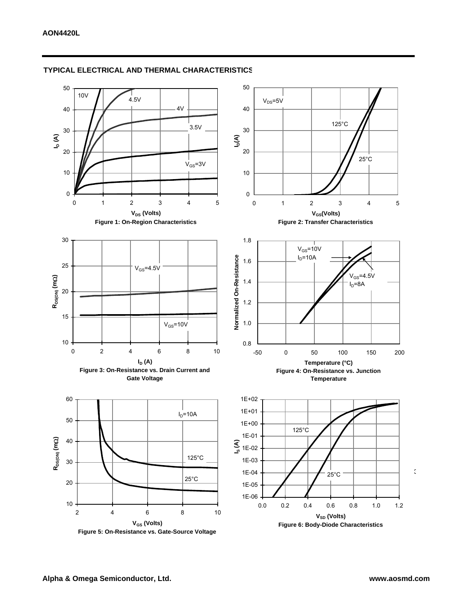

#### **TYPICAL ELECTRICAL AND THERMAL CHARACTERISTICS**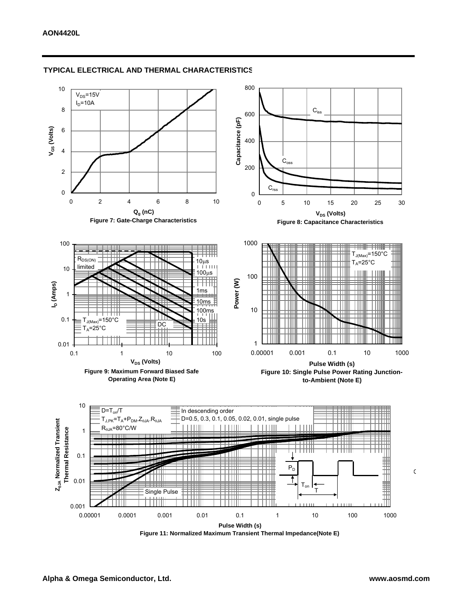

#### **TYPICAL ELECTRICAL AND THERMAL CHARACTERISTICS**